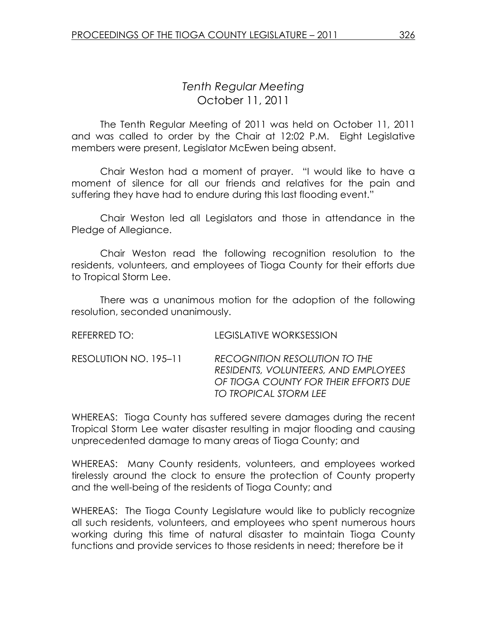# Tenth Regular Meeting October 11, 2011

 The Tenth Regular Meeting of 2011 was held on October 11, 2011 and was called to order by the Chair at 12:02 P.M. Eight Legislative members were present, Legislator McEwen being absent.

Chair Weston had a moment of prayer. "I would like to have a moment of silence for all our friends and relatives for the pain and suffering they have had to endure during this last flooding event."

 Chair Weston led all Legislators and those in attendance in the Pledge of Allegiance.

 Chair Weston read the following recognition resolution to the residents, volunteers, and employees of Tioga County for their efforts due to Tropical Storm Lee.

 There was a unanimous motion for the adoption of the following resolution, seconded unanimously.

| REFERRED TO:          | LEGISLATIVE WORKSESSION                                                                                                                        |
|-----------------------|------------------------------------------------------------------------------------------------------------------------------------------------|
| RESOLUTION NO. 195–11 | RECOGNITION RESOLUTION TO THE<br>RESIDENTS, VOLUNTEERS, AND EMPLOYEES<br>OF TIOGA COUNTY FOR THEIR EFFORTS DUE<br><b>TO TROPICAL STORM LEE</b> |
|                       |                                                                                                                                                |

WHEREAS: Tioga County has suffered severe damages during the recent Tropical Storm Lee water disaster resulting in major flooding and causing unprecedented damage to many areas of Tioga County; and

WHEREAS: Many County residents, volunteers, and employees worked tirelessly around the clock to ensure the protection of County property and the well-being of the residents of Tioga County; and

WHEREAS: The Tioga County Legislature would like to publicly recognize all such residents, volunteers, and employees who spent numerous hours working during this time of natural disaster to maintain Tioga County functions and provide services to those residents in need; therefore be it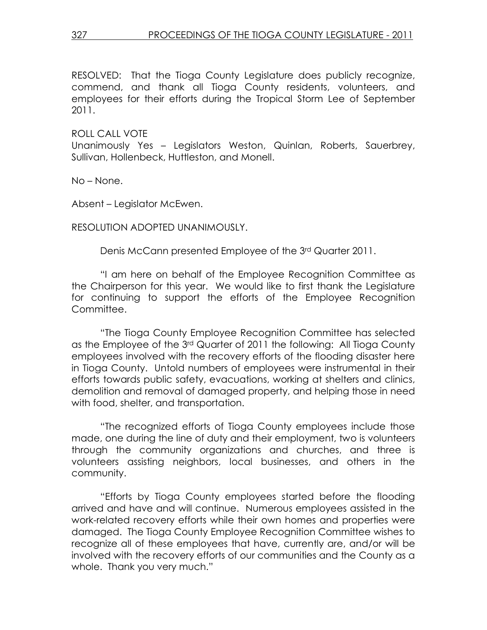RESOLVED: That the Tioga County Legislature does publicly recognize, commend, and thank all Tioga County residents, volunteers, and employees for their efforts during the Tropical Storm Lee of September 2011.

ROLL CALL VOTE

Unanimously Yes – Legislators Weston, Quinlan, Roberts, Sauerbrey, Sullivan, Hollenbeck, Huttleston, and Monell.

No – None.

Absent – Legislator McEwen.

RESOLUTION ADOPTED UNANIMOUSLY.

Denis McCann presented Employee of the 3rd Quarter 2011.

 "I am here on behalf of the Employee Recognition Committee as the Chairperson for this year. We would like to first thank the Legislature for continuing to support the efforts of the Employee Recognition Committee.

 "The Tioga County Employee Recognition Committee has selected as the Employee of the 3rd Quarter of 2011 the following: All Tioga County employees involved with the recovery efforts of the flooding disaster here in Tioga County. Untold numbers of employees were instrumental in their efforts towards public safety, evacuations, working at shelters and clinics, demolition and removal of damaged property, and helping those in need with food, shelter, and transportation.

 "The recognized efforts of Tioga County employees include those made, one during the line of duty and their employment, two is volunteers through the community organizations and churches, and three is volunteers assisting neighbors, local businesses, and others in the community.

 "Efforts by Tioga County employees started before the flooding arrived and have and will continue. Numerous employees assisted in the work-related recovery efforts while their own homes and properties were damaged. The Tioga County Employee Recognition Committee wishes to recognize all of these employees that have, currently are, and/or will be involved with the recovery efforts of our communities and the County as a whole. Thank you very much."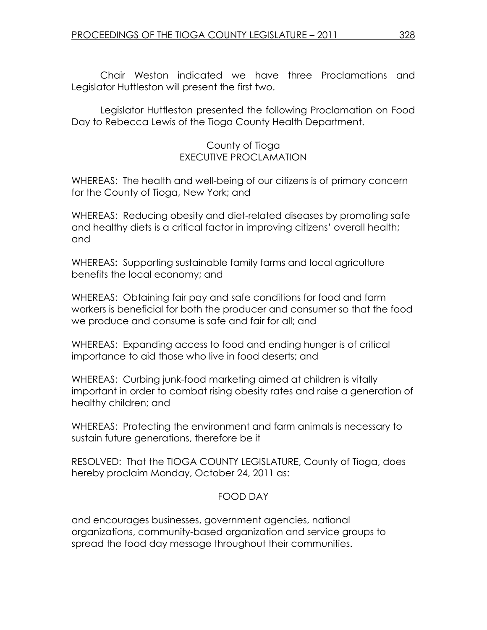Chair Weston indicated we have three Proclamations and Legislator Huttleston will present the first two.

 Legislator Huttleston presented the following Proclamation on Food Day to Rebecca Lewis of the Tioga County Health Department.

## County of Tioga EXECUTIVE PROCLAMATION

WHEREAS: The health and well-being of our citizens is of primary concern for the County of Tioga, New York; and

WHEREAS: Reducing obesity and diet-related diseases by promoting safe and healthy diets is a critical factor in improving citizens' overall health; and

WHEREAS: Supporting sustainable family farms and local agriculture benefits the local economy; and

WHEREAS: Obtaining fair pay and safe conditions for food and farm workers is beneficial for both the producer and consumer so that the food we produce and consume is safe and fair for all; and

WHEREAS: Expanding access to food and ending hunger is of critical importance to aid those who live in food deserts; and

WHEREAS: Curbing junk-food marketing aimed at children is vitally important in order to combat rising obesity rates and raise a generation of healthy children; and

WHEREAS: Protecting the environment and farm animals is necessary to sustain future generations, therefore be it

RESOLVED: That the TIOGA COUNTY LEGISLATURE, County of Tioga, does hereby proclaim Monday, October 24, 2011 as:

# FOOD DAY

and encourages businesses, government agencies, national organizations, community-based organization and service groups to spread the food day message throughout their communities.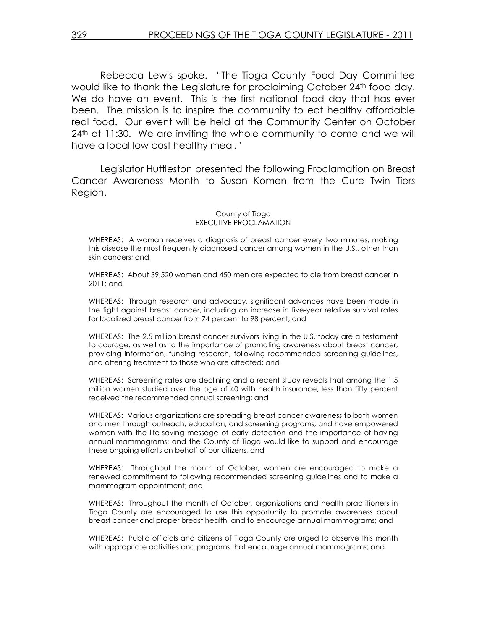Rebecca Lewis spoke. "The Tioga County Food Day Committee would like to thank the Legislature for proclaiming October 24<sup>th</sup> food day. We do have an event. This is the first national food day that has ever been. The mission is to inspire the community to eat healthy affordable real food. Our event will be held at the Community Center on October 24<sup>th</sup> at 11:30. We are inviting the whole community to come and we will have a local low cost healthy meal."

 Legislator Huttleston presented the following Proclamation on Breast Cancer Awareness Month to Susan Komen from the Cure Twin Tiers Region.

#### County of Tioga EXECUTIVE PROCLAMATION

WHEREAS: A woman receives a diagnosis of breast cancer every two minutes, making this disease the most frequently diagnosed cancer among women in the U.S., other than skin cancers; and

WHEREAS: About 39,520 women and 450 men are expected to die from breast cancer in 2011; and

WHEREAS: Through research and advocacy, significant advances have been made in the fight against breast cancer, including an increase in five-year relative survival rates for localized breast cancer from 74 percent to 98 percent; and

WHEREAS: The 2.5 million breast cancer survivors living in the U.S. today are a testament to courage, as well as to the importance of promoting awareness about breast cancer, providing information, funding research, following recommended screening guidelines, and offering treatment to those who are affected; and

WHEREAS: Screening rates are declining and a recent study reveals that among the 1.5 million women studied over the age of 40 with health insurance, less than fifty percent received the recommended annual screening; and

WHEREAS: Various organizations are spreading breast cancer awareness to both women and men through outreach, education, and screening programs, and have empowered women with the life-saving message of early detection and the importance of having annual mammograms; and the County of Tioga would like to support and encourage these ongoing efforts on behalf of our citizens, and

WHEREAS: Throughout the month of October, women are encouraged to make a renewed commitment to following recommended screening guidelines and to make a mammogram appointment; and

WHEREAS: Throughout the month of October, organizations and health practitioners in Tioga County are encouraged to use this opportunity to promote awareness about breast cancer and proper breast health, and to encourage annual mammograms; and

WHEREAS: Public officials and citizens of Tioga County are urged to observe this month with appropriate activities and programs that encourage annual mammograms; and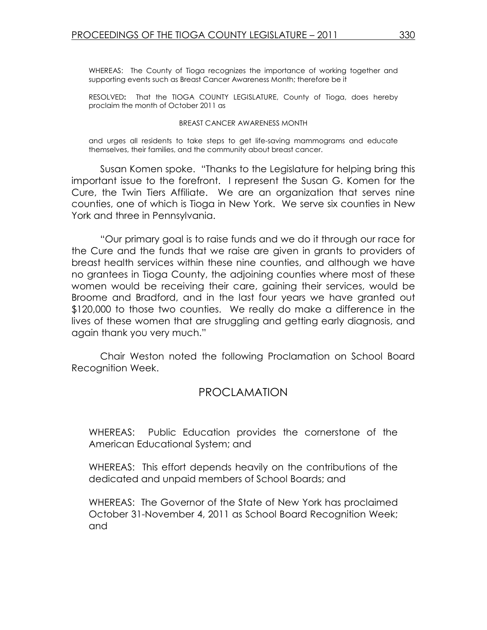WHEREAS: The County of Tioga recognizes the importance of working together and supporting events such as Breast Cancer Awareness Month; therefore be it

RESOLVED: That the TIOGA COUNTY LEGISLATURE, County of Tioga, does hereby proclaim the month of October 2011 as

#### BREAST CANCER AWARENESS MONTH

and urges all residents to take steps to get life-saving mammograms and educate themselves, their families, and the community about breast cancer.

 Susan Komen spoke. "Thanks to the Legislature for helping bring this important issue to the forefront. I represent the Susan G. Komen for the Cure, the Twin Tiers Affiliate. We are an organization that serves nine counties, one of which is Tioga in New York. We serve six counties in New York and three in Pennsylvania.

 "Our primary goal is to raise funds and we do it through our race for the Cure and the funds that we raise are given in grants to providers of breast health services within these nine counties, and although we have no grantees in Tioga County, the adjoining counties where most of these women would be receiving their care, gaining their services, would be Broome and Bradford, and in the last four years we have granted out \$120,000 to those two counties. We really do make a difference in the lives of these women that are struggling and getting early diagnosis, and again thank you very much."

 Chair Weston noted the following Proclamation on School Board Recognition Week.

# PROCLAMATION

WHEREAS: Public Education provides the cornerstone of the American Educational System; and

WHEREAS: This effort depends heavily on the contributions of the dedicated and unpaid members of School Boards; and

WHEREAS: The Governor of the State of New York has proclaimed October 31-November 4, 2011 as School Board Recognition Week; and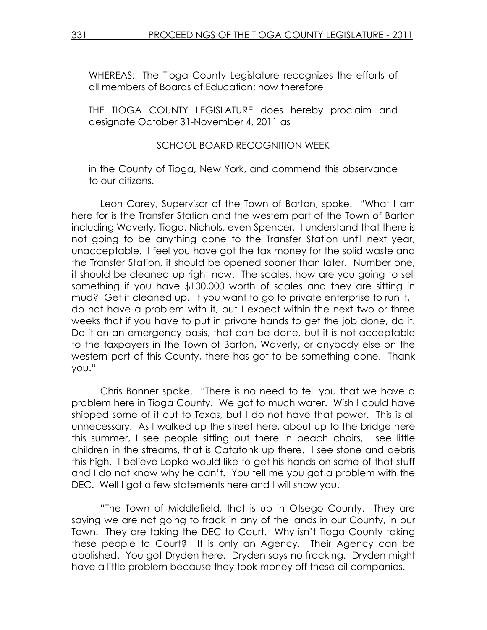WHEREAS: The Tioga County Legislature recognizes the efforts of all members of Boards of Education; now therefore

THE TIOGA COUNTY LEGISLATURE does hereby proclaim and designate October 31-November 4, 2011 as

## SCHOOL BOARD RECOGNITION WEEK

in the County of Tioga, New York, and commend this observance to our citizens.

 Leon Carey, Supervisor of the Town of Barton, spoke. "What I am here for is the Transfer Station and the western part of the Town of Barton including Waverly, Tioga, Nichols, even Spencer. I understand that there is not going to be anything done to the Transfer Station until next year, unacceptable. I feel you have got the tax money for the solid waste and the Transfer Station, it should be opened sooner than later. Number one, it should be cleaned up right now. The scales, how are you going to sell something if you have \$100,000 worth of scales and they are sitting in mud? Get it cleaned up. If you want to go to private enterprise to run it, I do not have a problem with it, but I expect within the next two or three weeks that if you have to put in private hands to get the job done, do it. Do it on an emergency basis, that can be done, but it is not acceptable to the taxpayers in the Town of Barton, Waverly, or anybody else on the western part of this County, there has got to be something done. Thank you."

 Chris Bonner spoke. "There is no need to tell you that we have a problem here in Tioga County. We got to much water. Wish I could have shipped some of it out to Texas, but I do not have that power. This is all unnecessary. As I walked up the street here, about up to the bridge here this summer, I see people sitting out there in beach chairs, I see little children in the streams, that is Catatonk up there. I see stone and debris this high. I believe Lopke would like to get his hands on some of that stuff and I do not know why he can't. You tell me you got a problem with the DEC. Well I got a few statements here and I will show you.

 "The Town of Middlefield, that is up in Otsego County. They are saying we are not going to frack in any of the lands in our County, in our Town. They are taking the DEC to Court. Why isn't Tioga County taking these people to Court? It is only an Agency. Their Agency can be abolished. You got Dryden here. Dryden says no fracking. Dryden might have a little problem because they took money off these oil companies.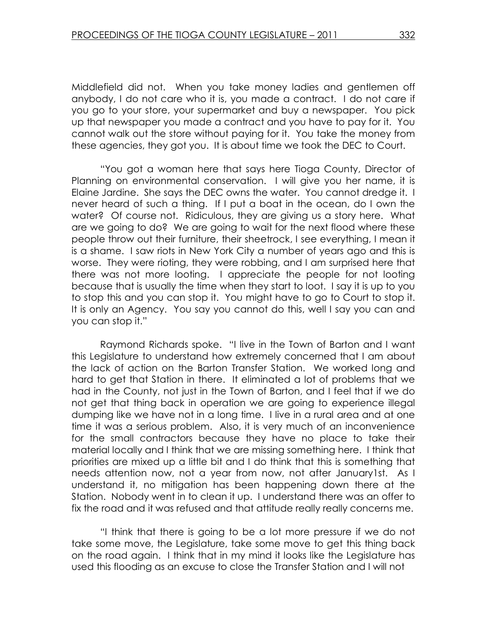Middlefield did not. When you take money ladies and gentlemen off anybody, I do not care who it is, you made a contract. I do not care if you go to your store, your supermarket and buy a newspaper. You pick up that newspaper you made a contract and you have to pay for it. You cannot walk out the store without paying for it. You take the money from these agencies, they got you. It is about time we took the DEC to Court.

 "You got a woman here that says here Tioga County, Director of Planning on environmental conservation. I will give you her name, it is Elaine Jardine. She says the DEC owns the water. You cannot dredge it. I never heard of such a thing. If I put a boat in the ocean, do I own the water? Of course not. Ridiculous, they are giving us a story here. What are we going to do? We are going to wait for the next flood where these people throw out their furniture, their sheetrock, I see everything, I mean it is a shame. I saw riots in New York City a number of years ago and this is worse. They were rioting, they were robbing, and I am surprised here that there was not more looting. I appreciate the people for not looting because that is usually the time when they start to loot. I say it is up to you to stop this and you can stop it. You might have to go to Court to stop it. It is only an Agency. You say you cannot do this, well I say you can and you can stop it."

 Raymond Richards spoke. "I live in the Town of Barton and I want this Legislature to understand how extremely concerned that I am about the lack of action on the Barton Transfer Station. We worked long and hard to get that Station in there. It eliminated a lot of problems that we had in the County, not just in the Town of Barton, and I feel that if we do not get that thing back in operation we are going to experience illegal dumping like we have not in a long time. I live in a rural area and at one time it was a serious problem. Also, it is very much of an inconvenience for the small contractors because they have no place to take their material locally and I think that we are missing something here. I think that priorities are mixed up a little bit and I do think that this is something that needs attention now, not a year from now, not after January1st. As I understand it, no mitigation has been happening down there at the Station. Nobody went in to clean it up. I understand there was an offer to fix the road and it was refused and that attitude really really concerns me.

 "I think that there is going to be a lot more pressure if we do not take some move, the Legislature, take some move to get this thing back on the road again. I think that in my mind it looks like the Legislature has used this flooding as an excuse to close the Transfer Station and I will not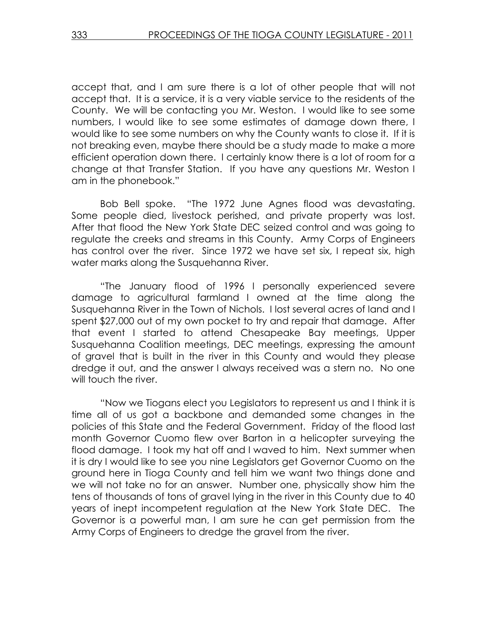accept that, and I am sure there is a lot of other people that will not accept that. It is a service, it is a very viable service to the residents of the County. We will be contacting you Mr. Weston. I would like to see some numbers, I would like to see some estimates of damage down there, I would like to see some numbers on why the County wants to close it. If it is not breaking even, maybe there should be a study made to make a more efficient operation down there. I certainly know there is a lot of room for a change at that Transfer Station. If you have any questions Mr. Weston I am in the phonebook."

 Bob Bell spoke. "The 1972 June Agnes flood was devastating. Some people died, livestock perished, and private property was lost. After that flood the New York State DEC seized control and was going to regulate the creeks and streams in this County. Army Corps of Engineers has control over the river. Since 1972 we have set six, I repeat six, high water marks along the Susquehanna River.

 "The January flood of 1996 I personally experienced severe damage to agricultural farmland I owned at the time along the Susquehanna River in the Town of Nichols. I lost several acres of land and I spent \$27,000 out of my own pocket to try and repair that damage. After that event I started to attend Chesapeake Bay meetings, Upper Susquehanna Coalition meetings, DEC meetings, expressing the amount of gravel that is built in the river in this County and would they please dredge it out, and the answer I always received was a stern no. No one will touch the river.

 "Now we Tiogans elect you Legislators to represent us and I think it is time all of us got a backbone and demanded some changes in the policies of this State and the Federal Government. Friday of the flood last month Governor Cuomo flew over Barton in a helicopter surveying the flood damage. I took my hat off and I waved to him. Next summer when it is dry I would like to see you nine Legislators get Governor Cuomo on the ground here in Tioga County and tell him we want two things done and we will not take no for an answer. Number one, physically show him the tens of thousands of tons of gravel lying in the river in this County due to 40 years of inept incompetent regulation at the New York State DEC. The Governor is a powerful man, I am sure he can get permission from the Army Corps of Engineers to dredge the gravel from the river.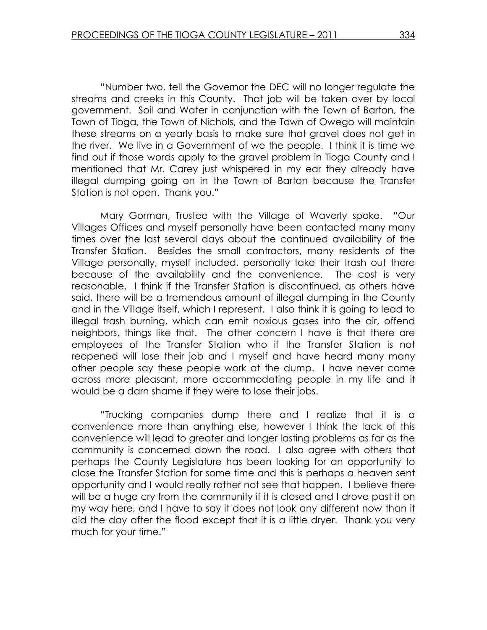"Number two, tell the Governor the DEC will no longer regulate the streams and creeks in this County. That job will be taken over by local government. Soil and Water in conjunction with the Town of Barton, the Town of Tioga, the Town of Nichols, and the Town of Owego will maintain these streams on a yearly basis to make sure that gravel does not get in the river. We live in a Government of we the people. I think it is time we find out if those words apply to the gravel problem in Tioga County and I mentioned that Mr. Carey just whispered in my ear they already have illegal dumping going on in the Town of Barton because the Transfer Station is not open. Thank you."

 Mary Gorman, Trustee with the Village of Waverly spoke. "Our Villages Offices and myself personally have been contacted many many times over the last several days about the continued availability of the Transfer Station. Besides the small contractors, many residents of the Village personally, myself included, personally take their trash out there because of the availability and the convenience. The cost is very reasonable. I think if the Transfer Station is discontinued, as others have said, there will be a tremendous amount of illegal dumping in the County and in the Village itself, which I represent. I also think it is going to lead to illegal trash burning, which can emit noxious gases into the air, offend neighbors, things like that. The other concern I have is that there are employees of the Transfer Station who if the Transfer Station is not reopened will lose their job and I myself and have heard many many other people say these people work at the dump. I have never come across more pleasant, more accommodating people in my life and it would be a darn shame if they were to lose their jobs.

 "Trucking companies dump there and I realize that it is a convenience more than anything else, however I think the lack of this convenience will lead to greater and longer lasting problems as far as the community is concerned down the road. I also agree with others that perhaps the County Legislature has been looking for an opportunity to close the Transfer Station for some time and this is perhaps a heaven sent opportunity and I would really rather not see that happen. I believe there will be a huge cry from the community if it is closed and I drove past it on my way here, and I have to say it does not look any different now than it did the day after the flood except that it is a little dryer. Thank you very much for your time."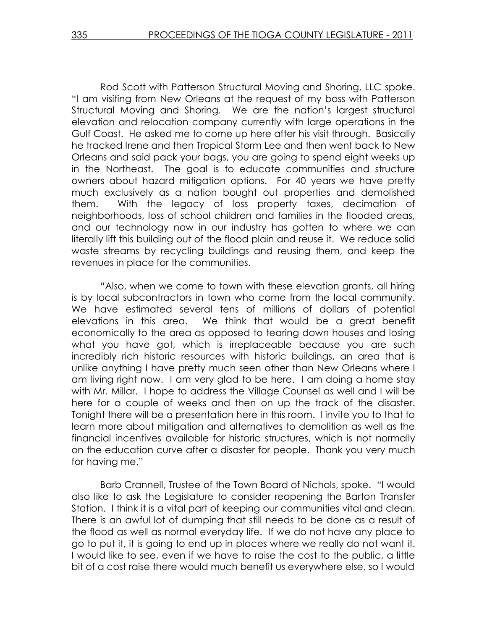Rod Scott with Patterson Structural Moving and Shoring, LLC spoke. "I am visiting from New Orleans at the request of my boss with Patterson Structural Moving and Shoring. We are the nation's largest structural elevation and relocation company currently with large operations in the Gulf Coast. He asked me to come up here after his visit through. Basically he tracked Irene and then Tropical Storm Lee and then went back to New Orleans and said pack your bags, you are going to spend eight weeks up in the Northeast. The goal is to educate communities and structure owners about hazard mitigation options. For 40 years we have pretty much exclusively as a nation bought out properties and demolished them. With the legacy of loss property taxes, decimation of neighborhoods, loss of school children and families in the flooded areas, and our technology now in our industry has gotten to where we can literally lift this building out of the flood plain and reuse it. We reduce solid waste streams by recycling buildings and reusing them, and keep the revenues in place for the communities.

 "Also, when we come to town with these elevation grants, all hiring is by local subcontractors in town who come from the local community. We have estimated several tens of millions of dollars of potential elevations in this area. We think that would be a great benefit economically to the area as opposed to tearing down houses and losing what you have got, which is irreplaceable because you are such incredibly rich historic resources with historic buildings, an area that is unlike anything I have pretty much seen other than New Orleans where I am living right now. I am very glad to be here. I am doing a home stay with Mr. Millar. I hope to address the Village Counsel as well and I will be here for a couple of weeks and then on up the track of the disaster. Tonight there will be a presentation here in this room. I invite you to that to learn more about mitigation and alternatives to demolition as well as the financial incentives available for historic structures, which is not normally on the education curve after a disaster for people. Thank you very much for having me."

 Barb Crannell, Trustee of the Town Board of Nichols, spoke. "I would also like to ask the Legislature to consider reopening the Barton Transfer Station. I think it is a vital part of keeping our communities vital and clean. There is an awful lot of dumping that still needs to be done as a result of the flood as well as normal everyday life. If we do not have any place to go to put it, it is going to end up in places where we really do not want it. I would like to see, even if we have to raise the cost to the public, a little bit of a cost raise there would much benefit us everywhere else, so I would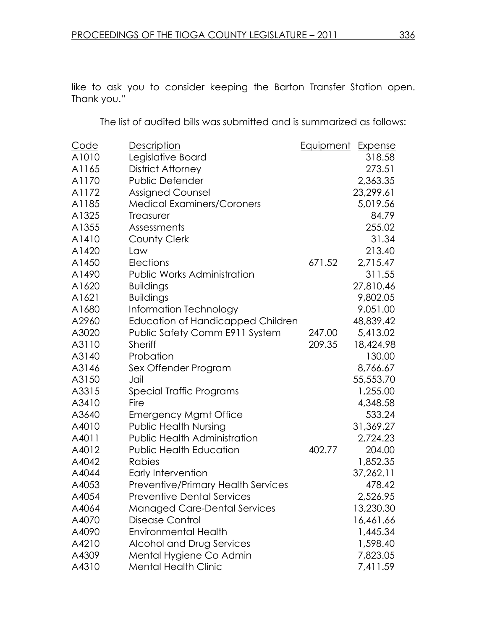like to ask you to consider keeping the Barton Transfer Station open. Thank you."

The list of audited bills was submitted and is summarized as follows:

| <u>Code</u> | <u>Description</u>                        | Equipment | <b>Expense</b> |
|-------------|-------------------------------------------|-----------|----------------|
| A1010       | Legislative Board                         |           | 318.58         |
| A1165       | <b>District Attorney</b>                  |           | 273.51         |
| A1170       | Public Defender                           |           | 2,363.35       |
| A1172       | <b>Assigned Counsel</b>                   |           | 23,299.61      |
| A1185       | <b>Medical Examiners/Coroners</b>         |           | 5,019.56       |
| A1325       | Treasurer                                 |           | 84.79          |
| A1355       | Assessments                               |           | 255.02         |
| A1410       | County Clerk                              |           | 31.34          |
| A1420       | Law                                       |           | 213.40         |
| A1450       | Elections                                 | 671.52    | 2,715.47       |
| A1490       | <b>Public Works Administration</b>        |           | 311.55         |
| A1620       | <b>Buildings</b>                          |           | 27,810.46      |
| A1621       | <b>Buildings</b>                          |           | 9,802.05       |
| A1680       | Information Technology                    |           | 9,051.00       |
| A2960       | Education of Handicapped Children         |           | 48,839.42      |
| A3020       | Public Safety Comm E911 System            | 247.00    | 5,413.02       |
| A3110       | <b>Sheriff</b>                            | 209.35    | 18,424.98      |
| A3140       | Probation                                 |           | 130.00         |
| A3146       | Sex Offender Program                      |           | 8,766.67       |
| A3150       | Jail                                      |           | 55,553.70      |
| A3315       | Special Traffic Programs                  |           | 1,255.00       |
| A3410       | Fire                                      |           | 4,348.58       |
| A3640       | <b>Emergency Mgmt Office</b>              |           | 533.24         |
| A4010       | <b>Public Health Nursing</b>              |           | 31,369.27      |
| A4011       | <b>Public Health Administration</b>       |           | 2,724.23       |
| A4012       | <b>Public Health Education</b>            | 402.77    | 204.00         |
| A4042       | Rabies                                    |           | 1,852.35       |
| A4044       | Early Intervention                        |           | 37,262.11      |
| A4053       | <b>Preventive/Primary Health Services</b> |           | 478.42         |
| A4054       | <b>Preventive Dental Services</b>         |           | 2,526.95       |
| A4064       | <b>Managed Care-Dental Services</b>       |           | 13,230.30      |
| A4070       | <b>Disease Control</b>                    |           | 16,461.66      |
| A4090       | <b>Environmental Health</b>               |           | 1,445.34       |
| A4210       | Alcohol and Drug Services                 |           | 1,598.40       |
| A4309       | Mental Hygiene Co Admin                   |           | 7,823.05       |
| A4310       | <b>Mental Health Clinic</b>               |           | 7,411.59       |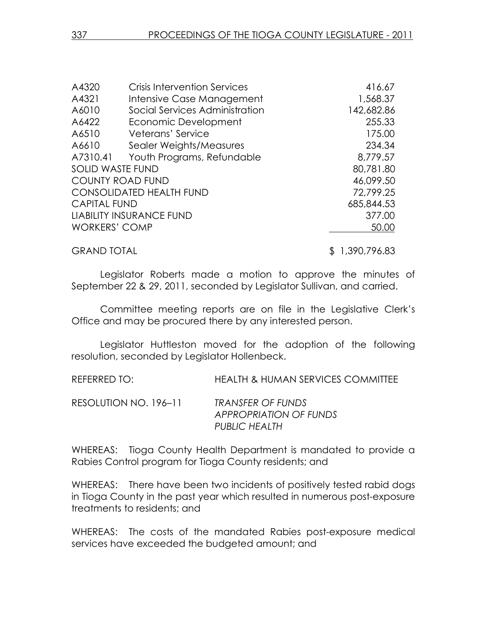| A4320                           | <b>Crisis Intervention Services</b> | 416.67     |
|---------------------------------|-------------------------------------|------------|
| A4321                           | Intensive Case Management           | 1,568.37   |
| A6010                           | Social Services Administration      | 142,682.86 |
| A6422                           | Economic Development                | 255.33     |
| A6510                           | Veterans' Service                   | 175.00     |
| A6610                           | Sealer Weights/Measures             | 234.34     |
| A7310.41                        | Youth Programs, Refundable          | 8,779.57   |
| <b>SOLID WASTE FUND</b>         |                                     | 80,781.80  |
| <b>COUNTY ROAD FUND</b>         | 46,099.50                           |            |
| <b>CONSOLIDATED HEALTH FUND</b> | 72,799.25                           |            |
| <b>CAPITAL FUND</b>             |                                     | 685,844.53 |
| <b>LIABILITY INSURANCE FUND</b> |                                     | 377.00     |
| <b>WORKERS' COMP</b>            |                                     | 50.00      |
|                                 |                                     |            |

GRAND TOTAL \$ 1,390,796.83

Legislator Roberts made a motion to approve the minutes of September 22 & 29, 2011, seconded by Legislator Sullivan, and carried.

Committee meeting reports are on file in the Legislative Clerk's Office and may be procured there by any interested person.

 Legislator Huttleston moved for the adoption of the following resolution, seconded by Legislator Hollenbeck.

REFERRED TO: HEALTH & HUMAN SERVICES COMMITTEE

| RESOLUTION NO. 196-11 | <b>TRANSFER OF FUNDS</b>      |
|-----------------------|-------------------------------|
|                       | <b>APPROPRIATION OF FUNDS</b> |
|                       | <b>PUBLIC HEALTH</b>          |

WHEREAS: Tioga County Health Department is mandated to provide a Rabies Control program for Tioga County residents; and

WHEREAS: There have been two incidents of positively tested rabid dogs in Tioga County in the past year which resulted in numerous post-exposure treatments to residents; and

WHEREAS: The costs of the mandated Rabies post-exposure medical services have exceeded the budgeted amount; and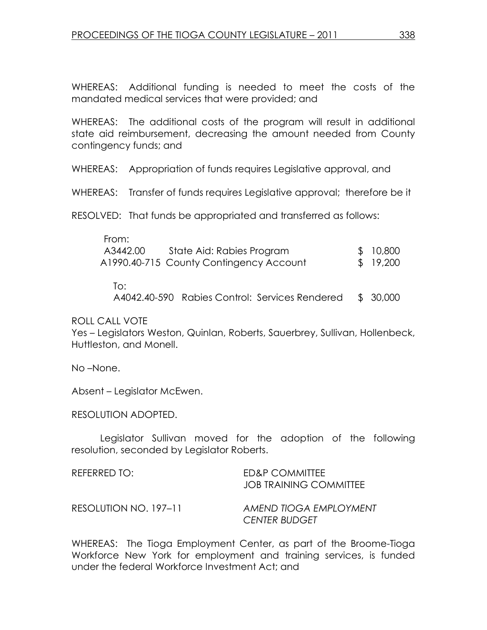WHEREAS: Additional funding is needed to meet the costs of the mandated medical services that were provided; and

WHEREAS: The additional costs of the program will result in additional state aid reimbursement, decreasing the amount needed from County contingency funds; and

WHEREAS: Appropriation of funds requires Legislative approval, and

WHEREAS: Transfer of funds requires Legislative approval; therefore be it

RESOLVED: That funds be appropriated and transferred as follows:

| From:    |                                         |           |
|----------|-----------------------------------------|-----------|
| A3442.00 | State Aid: Rabies Program               | \$ 10,800 |
|          | A1990.40-715 County Contingency Account | \$ 19,200 |
|          |                                         |           |

To:

A4042.40-590 Rabies Control: Services Rendered \$ 30,000

ROLL CALL VOTE

Yes – Legislators Weston, Quinlan, Roberts, Sauerbrey, Sullivan, Hollenbeck, Huttleston, and Monell.

No –None.

Absent – Legislator McEwen.

RESOLUTION ADOPTED.

 Legislator Sullivan moved for the adoption of the following resolution, seconded by Legislator Roberts.

| REFERRED TO:          | ED&P COMMITTEE<br>JOB TRAINING COMMITTEE       |
|-----------------------|------------------------------------------------|
| RESOLUTION NO. 197–11 | AMEND TIOGA EMPLOYMENT<br><b>CENTER BUDGET</b> |

WHEREAS: The Tioga Employment Center, as part of the Broome-Tioga Workforce New York for employment and training services, is funded under the federal Workforce Investment Act; and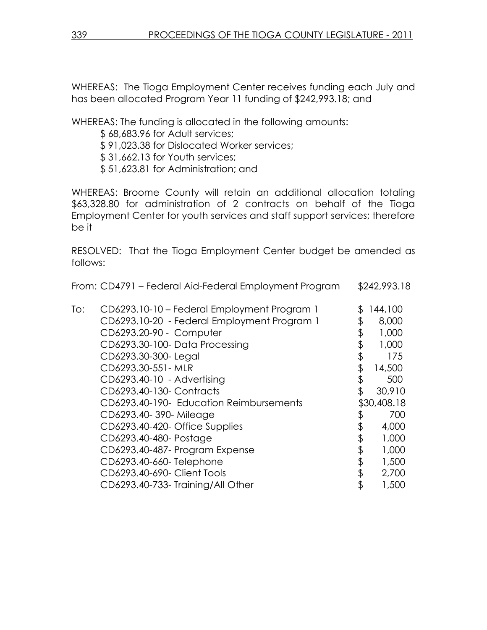WHEREAS: The Tioga Employment Center receives funding each July and has been allocated Program Year 11 funding of \$242,993.18; and

WHEREAS: The funding is allocated in the following amounts:

- \$ 68,683.96 for Adult services;
- \$ 91,023.38 for Dislocated Worker services;
- \$ 31,662.13 for Youth services;
- \$ 51,623.81 for Administration; and

WHEREAS: Broome County will retain an additional allocation totaling \$63,328.80 for administration of 2 contracts on behalf of the Tioga Employment Center for youth services and staff support services; therefore be it

RESOLVED: That the Tioga Employment Center budget be amended as follows:

From: CD4791 – Federal Aid-Federal Employment Program \$242,993.18

| To: | CD6293.10-10 – Federal Employment Program 1<br>CD6293.10-20 - Federal Employment Program 1<br>CD6293.20-90 - Computer<br>CD6293.30-100-Data Processing<br>CD6293.30-300-Legal<br>CD6293.30-551-MLR<br>CD6293.40-10 - Advertising<br>CD6293.40-130- Contracts |          | 144,100<br>8,000<br>1,000<br>1,000<br>175<br>14,500<br>500<br>30,910 |
|-----|--------------------------------------------------------------------------------------------------------------------------------------------------------------------------------------------------------------------------------------------------------------|----------|----------------------------------------------------------------------|
|     | CD6293.40-190- Education Reimbursements<br>CD6293.40-390-Mileage<br>CD6293.40-420- Office Supplies<br>CD6293.40-480-Postage<br>CD6293.40-487- Program Expense                                                                                                | \$       | \$30,408.18<br>700<br>4,000<br>1,000<br>1,000                        |
|     | CD6293.40-660-Telephone<br>CD6293.40-690- Client Tools<br>CD6293.40-733-Training/All Other                                                                                                                                                                   | \$<br>\$ | 1,500<br>2,700<br>1,500                                              |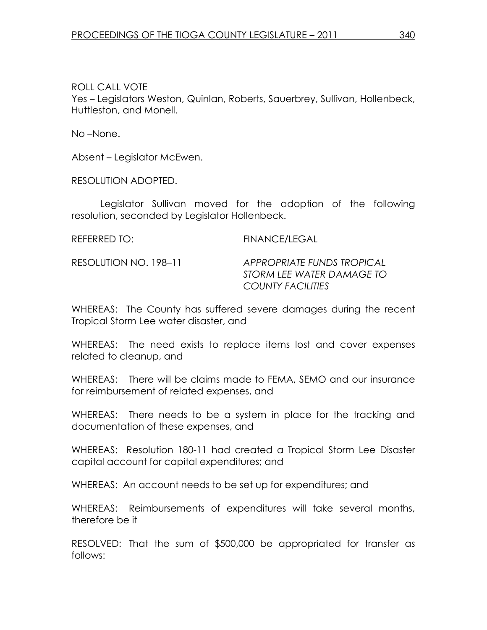ROLL CALL VOTE Yes – Legislators Weston, Quinlan, Roberts, Sauerbrey, Sullivan, Hollenbeck, Huttleston, and Monell.

No –None.

Absent – Legislator McEwen.

RESOLUTION ADOPTED.

 Legislator Sullivan moved for the adoption of the following resolution, seconded by Legislator Hollenbeck.

REFERRED TO: FINANCE/LEGAL

RESOLUTION NO. 198–11 APPROPRIATE FUNDS TROPICAL STORM LEE WATER DAMAGE TO COUNTY FACILITIES

WHEREAS: The County has suffered severe damages during the recent Tropical Storm Lee water disaster, and

WHEREAS: The need exists to replace items lost and cover expenses related to cleanup, and

WHEREAS: There will be claims made to FEMA, SEMO and our insurance for reimbursement of related expenses, and

WHEREAS: There needs to be a system in place for the tracking and documentation of these expenses, and

WHEREAS: Resolution 180-11 had created a Tropical Storm Lee Disaster capital account for capital expenditures; and

WHEREAS: An account needs to be set up for expenditures; and

WHEREAS: Reimbursements of expenditures will take several months, therefore be it

RESOLVED: That the sum of \$500,000 be appropriated for transfer as follows: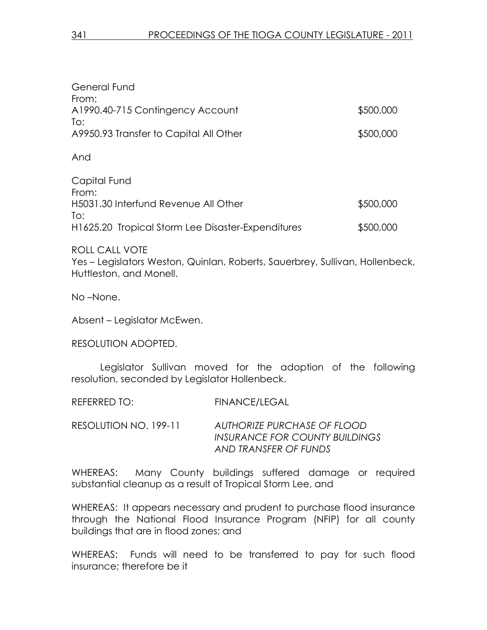| \$500,000 |
|-----------|
| \$500,000 |
|           |
|           |
| \$500,000 |
| \$500,000 |
|           |

ROLL CALL VOTE Yes – Legislators Weston, Quinlan, Roberts, Sauerbrey, Sullivan, Hollenbeck, Huttleston, and Monell.

No –None.

Absent – Legislator McEwen.

RESOLUTION ADOPTED.

 Legislator Sullivan moved for the adoption of the following resolution, seconded by Legislator Hollenbeck.

REFERRED TO: FINANCE/LEGAL

RESOLUTION NO. 199-11 AUTHORIZE PURCHASE OF FLOOD INSURANCE FOR COUNTY BUILDINGS AND TRANSFER OF FUNDS

WHEREAS: Many County buildings suffered damage or required substantial cleanup as a result of Tropical Storm Lee, and

WHEREAS: It appears necessary and prudent to purchase flood insurance through the National Flood Insurance Program (NFIP) for all county buildings that are in flood zones; and

WHEREAS: Funds will need to be transferred to pay for such flood insurance; therefore be it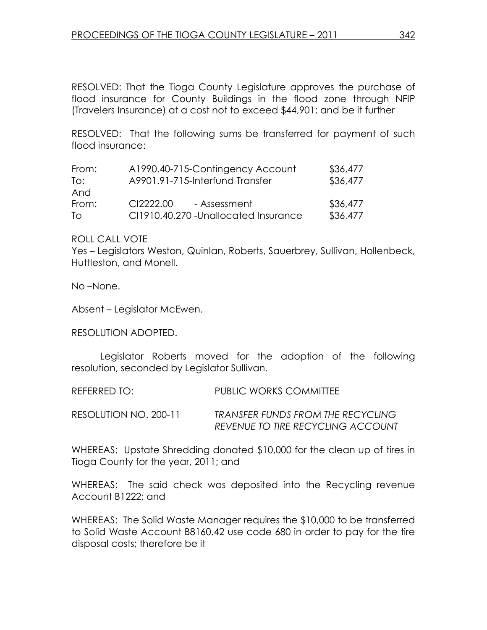RESOLVED: That the Tioga County Legislature approves the purchase of flood insurance for County Buildings in the flood zone through NFIP (Travelers Insurance) at a cost not to exceed \$44,901; and be it further

RESOLVED: That the following sums be transferred for payment of such flood insurance:

| From: | A1990.40-715-Contingency Account      | \$36,477 |
|-------|---------------------------------------|----------|
| To:   | A9901.91-715-Interfund Transfer       | \$36,477 |
| And   |                                       |          |
| From: | CI2222.00<br>- Assessment             | \$36,477 |
| To    | CI1910.40.270 - Unallocated Insurance | \$36,477 |

#### ROLL CALL VOTE

Yes – Legislators Weston, Quinlan, Roberts, Sauerbrey, Sullivan, Hollenbeck, Huttleston, and Monell.

No –None.

Absent – Legislator McEwen.

RESOLUTION ADOPTED.

 Legislator Roberts moved for the adoption of the following resolution, seconded by Legislator Sullivan.

REFERRED TO: PUBLIC WORKS COMMITTEE

RESOLUTION NO. 200-11 TRANSFER FUNDS FROM THE RECYCLING REVENUE TO TIRE RECYCLING ACCOUNT

WHEREAS: Upstate Shredding donated \$10,000 for the clean up of tires in Tioga County for the year, 2011; and

WHEREAS: The said check was deposited into the Recycling revenue Account B1222; and

WHEREAS: The Solid Waste Manager requires the \$10,000 to be transferred to Solid Waste Account B8160.42 use code 680 in order to pay for the tire disposal costs; therefore be it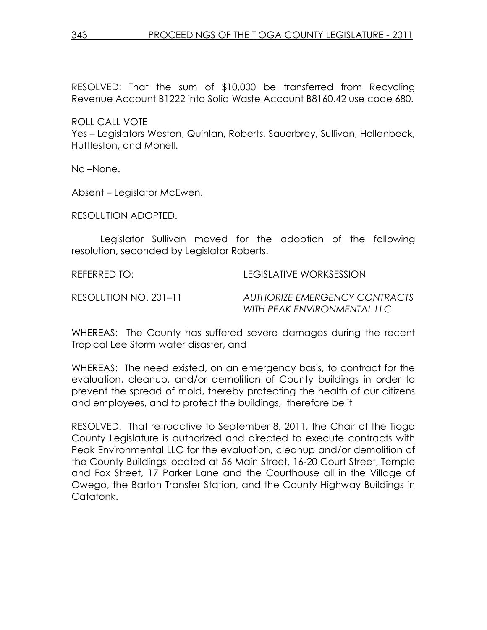RESOLVED: That the sum of \$10,000 be transferred from Recycling Revenue Account B1222 into Solid Waste Account B8160.42 use code 680.

ROLL CALL VOTE

Yes – Legislators Weston, Quinlan, Roberts, Sauerbrey, Sullivan, Hollenbeck, Huttleston, and Monell.

No –None.

Absent – Legislator McEwen.

RESOLUTION ADOPTED.

 Legislator Sullivan moved for the adoption of the following resolution, seconded by Legislator Roberts.

REFERRED TO: LEGISLATIVE WORKSESSION

RESOLUTION NO. 201-11 AUTHORIZE EMERGENCY CONTRACTS WITH PEAK ENVIRONMENTAL LLC

WHEREAS: The County has suffered severe damages during the recent Tropical Lee Storm water disaster, and

WHEREAS: The need existed, on an emergency basis, to contract for the evaluation, cleanup, and/or demolition of County buildings in order to prevent the spread of mold, thereby protecting the health of our citizens and employees, and to protect the buildings, therefore be it

RESOLVED: That retroactive to September 8, 2011, the Chair of the Tioga County Legislature is authorized and directed to execute contracts with Peak Environmental LLC for the evaluation, cleanup and/or demolition of the County Buildings located at 56 Main Street, 16-20 Court Street, Temple and Fox Street, 17 Parker Lane and the Courthouse all in the Village of Owego, the Barton Transfer Station, and the County Highway Buildings in Catatonk.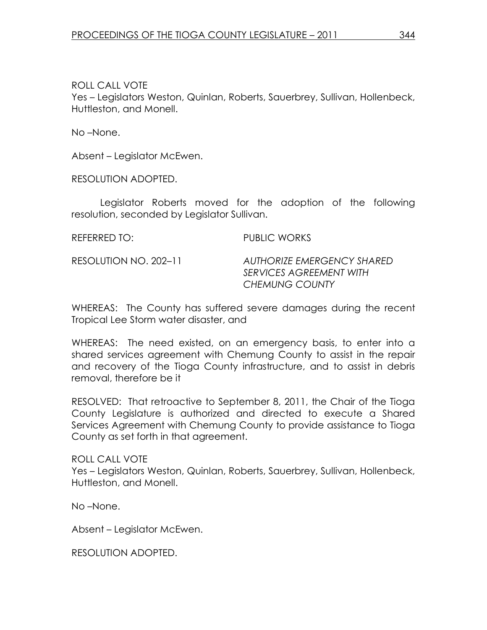ROLL CALL VOTE Yes – Legislators Weston, Quinlan, Roberts, Sauerbrey, Sullivan, Hollenbeck, Huttleston, and Monell.

No –None.

Absent – Legislator McEwen.

RESOLUTION ADOPTED.

 Legislator Roberts moved for the adoption of the following resolution, seconded by Legislator Sullivan.

REFERRED TO: PUBLIC WORKS

RESOLUTION NO. 202–11 AUTHORIZE EMERGENCY SHARED SERVICES AGREEMENT WITH CHEMUNG COUNTY

WHEREAS: The County has suffered severe damages during the recent Tropical Lee Storm water disaster, and

WHEREAS: The need existed, on an emergency basis, to enter into a shared services agreement with Chemung County to assist in the repair and recovery of the Tioga County infrastructure, and to assist in debris removal, therefore be it

RESOLVED: That retroactive to September 8, 2011, the Chair of the Tioga County Legislature is authorized and directed to execute a Shared Services Agreement with Chemung County to provide assistance to Tioga County as set forth in that agreement.

ROLL CALL VOTE Yes – Legislators Weston, Quinlan, Roberts, Sauerbrey, Sullivan, Hollenbeck, Huttleston, and Monell.

No –None.

Absent – Legislator McEwen.

RESOLUTION ADOPTED.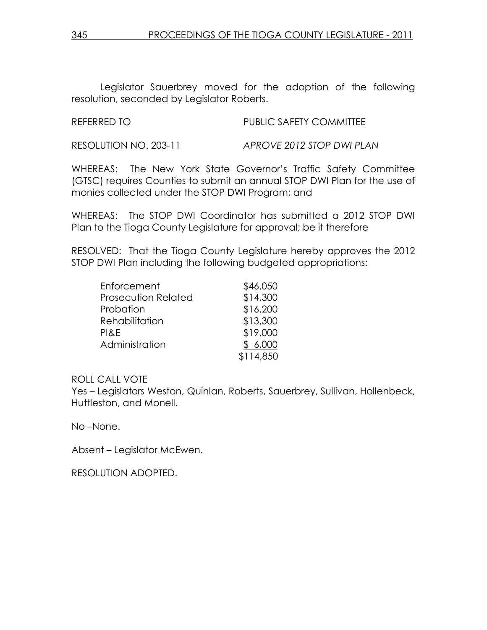Legislator Sauerbrey moved for the adoption of the following resolution, seconded by Legislator Roberts.

## REFERRED TO **PUBLIC SAFETY COMMITTEE**

RESOLUTION NO. 203-11 APROVE 2012 STOP DWI PLAN

WHEREAS: The New York State Governor's Traffic Safety Committee (GTSC) requires Counties to submit an annual STOP DWI Plan for the use of monies collected under the STOP DWI Program; and

WHEREAS: The STOP DWI Coordinator has submitted a 2012 STOP DWI Plan to the Tioga County Legislature for approval; be it therefore

RESOLVED: That the Tioga County Legislature hereby approves the 2012 STOP DWI Plan including the following budgeted appropriations:

| Enforcement                | \$46,050  |
|----------------------------|-----------|
| <b>Prosecution Related</b> | \$14,300  |
| Probation                  | \$16,200  |
| Rehabilitation             | \$13,300  |
| PI&E                       | \$19,000  |
| Administration             | \$6,000   |
|                            | \$114,850 |

# ROLL CALL VOTE

Yes – Legislators Weston, Quinlan, Roberts, Sauerbrey, Sullivan, Hollenbeck, Huttleston, and Monell.

No –None.

Absent – Legislator McEwen.

RESOLUTION ADOPTED.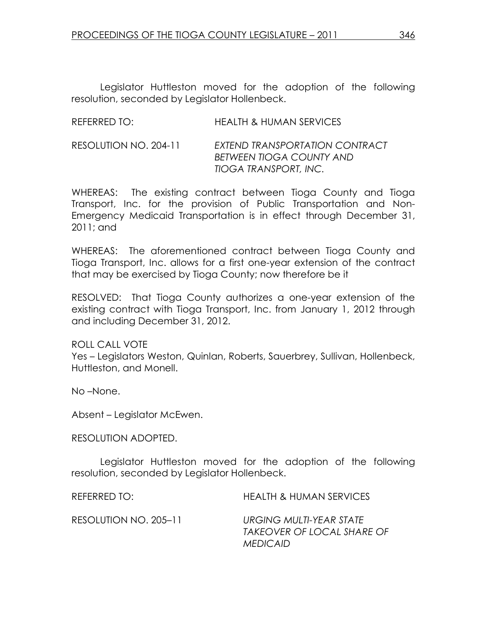Legislator Huttleston moved for the adoption of the following resolution, seconded by Legislator Hollenbeck.

| REFERRED TO:          | <b>HEALTH &amp; HUMAN SERVICES</b>                                                         |
|-----------------------|--------------------------------------------------------------------------------------------|
| RESOLUTION NO. 204-11 | EXTEND TRANSPORTATION CONTRACT<br><b>BETWEEN TIOGA COUNTY AND</b><br>TIOGA TRANSPORT, INC. |

WHEREAS: The existing contract between Tioga County and Tioga Transport, Inc. for the provision of Public Transportation and Non-Emergency Medicaid Transportation is in effect through December 31, 2011; and

WHEREAS: The aforementioned contract between Tioga County and Tioga Transport, Inc. allows for a first one-year extension of the contract that may be exercised by Tioga County; now therefore be it

RESOLVED: That Tioga County authorizes a one-year extension of the existing contract with Tioga Transport, Inc. from January 1, 2012 through and including December 31, 2012.

ROLL CALL VOTE Yes – Legislators Weston, Quinlan, Roberts, Sauerbrey, Sullivan, Hollenbeck, Huttleston, and Monell.

No –None.

Absent – Legislator McEwen.

RESOLUTION ADOPTED.

 Legislator Huttleston moved for the adoption of the following resolution, seconded by Legislator Hollenbeck.

REFERRED TO: HEALTH & HUMAN SERVICES

RESOLUTION NO. 205–11 URGING MULTI-YEAR STATE

 TAKEOVER OF LOCAL SHARE OF MEDICAID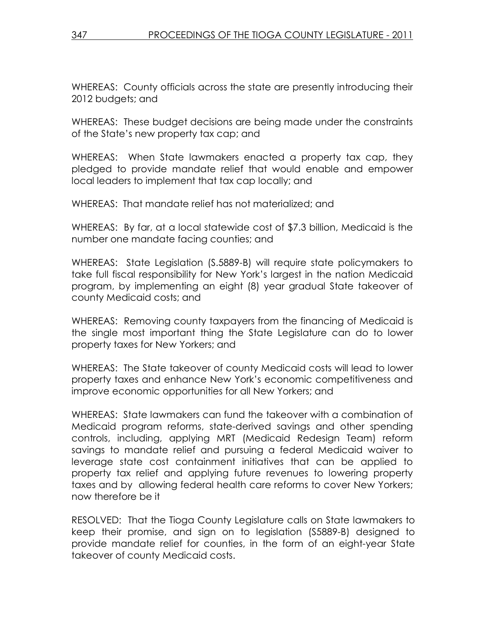WHEREAS: County officials across the state are presently introducing their 2012 budgets; and

WHEREAS: These budget decisions are being made under the constraints of the State's new property tax cap; and

WHEREAS: When State lawmakers enacted a property tax cap, they pledged to provide mandate relief that would enable and empower local leaders to implement that tax cap locally; and

WHEREAS: That mandate relief has not materialized; and

WHEREAS: By far, at a local statewide cost of \$7.3 billion, Medicaid is the number one mandate facing counties; and

WHEREAS: State Legislation (S.5889-B) will require state policymakers to take full fiscal responsibility for New York's largest in the nation Medicaid program, by implementing an eight (8) year gradual State takeover of county Medicaid costs; and

WHEREAS: Removing county taxpayers from the financing of Medicaid is the single most important thing the State Legislature can do to lower property taxes for New Yorkers; and

WHEREAS: The State takeover of county Medicaid costs will lead to lower property taxes and enhance New York's economic competitiveness and improve economic opportunities for all New Yorkers; and

WHEREAS: State lawmakers can fund the takeover with a combination of Medicaid program reforms, state-derived savings and other spending controls, including, applying MRT (Medicaid Redesign Team) reform savings to mandate relief and pursuing a federal Medicaid waiver to leverage state cost containment initiatives that can be applied to property tax relief and applying future revenues to lowering property taxes and by allowing federal health care reforms to cover New Yorkers; now therefore be it

RESOLVED: That the Tioga County Legislature calls on State lawmakers to keep their promise, and sign on to legislation (S5889-B) designed to provide mandate relief for counties, in the form of an eight-year State takeover of county Medicaid costs.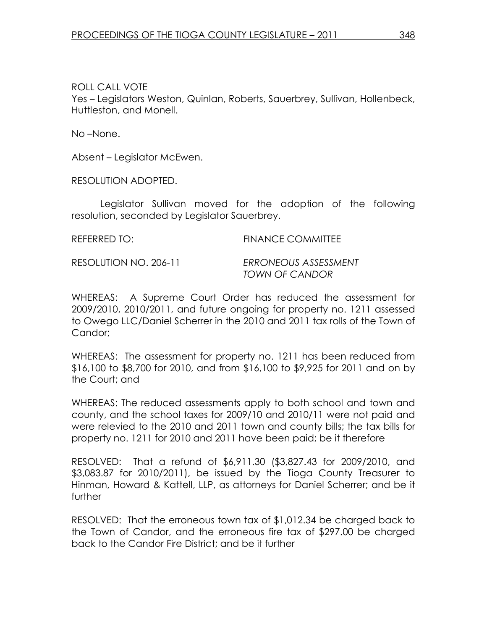ROLL CALL VOTE

Yes – Legislators Weston, Quinlan, Roberts, Sauerbrey, Sullivan, Hollenbeck, Huttleston, and Monell.

No –None.

Absent – Legislator McEwen.

RESOLUTION ADOPTED.

 Legislator Sullivan moved for the adoption of the following resolution, seconded by Legislator Sauerbrey.

REFERRED TO: FINANCE COMMITTEE

RESOLUTION NO. 206-11 ERRONEOUS ASSESSMENT TOWN OF CANDOR

WHEREAS: A Supreme Court Order has reduced the assessment for 2009/2010, 2010/2011, and future ongoing for property no. 1211 assessed to Owego LLC/Daniel Scherrer in the 2010 and 2011 tax rolls of the Town of Candor;

WHEREAS: The assessment for property no. 1211 has been reduced from \$16,100 to \$8,700 for 2010, and from \$16,100 to \$9,925 for 2011 and on by the Court; and

WHEREAS: The reduced assessments apply to both school and town and county, and the school taxes for 2009/10 and 2010/11 were not paid and were relevied to the 2010 and 2011 town and county bills; the tax bills for property no. 1211 for 2010 and 2011 have been paid; be it therefore

RESOLVED: That a refund of \$6,911.30 (\$3,827.43 for 2009/2010, and \$3,083.87 for 2010/2011), be issued by the Tioga County Treasurer to Hinman, Howard & Kattell, LLP, as attorneys for Daniel Scherrer; and be it further

RESOLVED: That the erroneous town tax of \$1,012.34 be charged back to the Town of Candor, and the erroneous fire tax of \$297.00 be charged back to the Candor Fire District; and be it further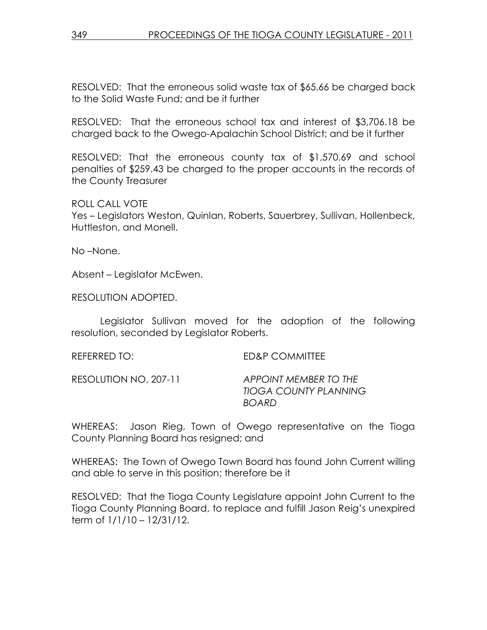RESOLVED: That the erroneous solid waste tax of \$65.66 be charged back to the Solid Waste Fund; and be it further

RESOLVED: That the erroneous school tax and interest of \$3,706.18 be charged back to the Owego-Apalachin School District; and be it further

RESOLVED: That the erroneous county tax of \$1,570.69 and school penalties of \$259.43 be charged to the proper accounts in the records of the County Treasurer

ROLL CALL VOTE

Yes – Legislators Weston, Quinlan, Roberts, Sauerbrey, Sullivan, Hollenbeck, Huttleston, and Monell.

No –None.

Absent – Legislator McEwen.

RESOLUTION ADOPTED.

 Legislator Sullivan moved for the adoption of the following resolution, seconded by Legislator Roberts.

REFERRED TO: ED&P COMMITTEE

RESOLUTION NO. 207-11 APPOINT MEMBER TO THE

 TIOGA COUNTY PLANNING BOARD

WHEREAS: Jason Rieg, Town of Owego representative on the Tioga County Planning Board has resigned; and

WHEREAS: The Town of Owego Town Board has found John Current willing and able to serve in this position; therefore be it

RESOLVED: That the Tioga County Legislature appoint John Current to the Tioga County Planning Board, to replace and fulfill Jason Reig's unexpired term of 1/1/10 – 12/31/12.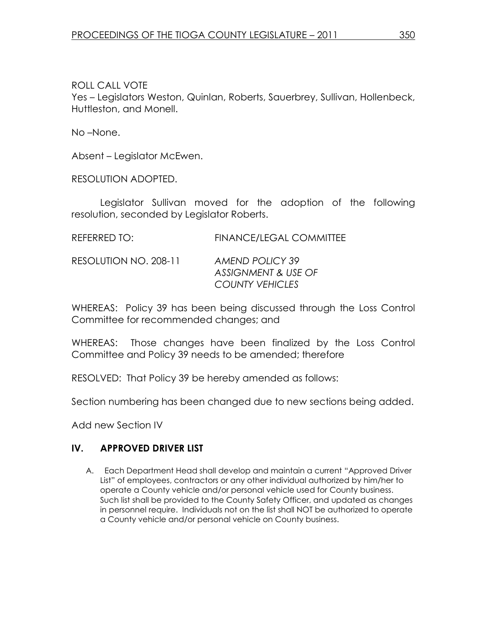ROLL CALL VOTE Yes – Legislators Weston, Quinlan, Roberts, Sauerbrey, Sullivan, Hollenbeck, Huttleston, and Monell.

No –None.

Absent – Legislator McEwen.

RESOLUTION ADOPTED.

 Legislator Sullivan moved for the adoption of the following resolution, seconded by Legislator Roberts.

| REFERRED TO:          | FINANCE/LEGAL COMMITTEE |
|-----------------------|-------------------------|
| RESOLUTION NO. 208-11 | AMEND POLICY 39         |

 ASSIGNMENT & USE OF COUNTY VEHICLES

WHEREAS: Policy 39 has been being discussed through the Loss Control Committee for recommended changes; and

WHEREAS: Those changes have been finalized by the Loss Control Committee and Policy 39 needs to be amended; therefore

RESOLVED: That Policy 39 be hereby amended as follows:

Section numbering has been changed due to new sections being added.

Add new Section IV

# IV. APPROVED DRIVER LIST

A. Each Department Head shall develop and maintain a current "Approved Driver List" of employees, contractors or any other individual authorized by him/her to operate a County vehicle and/or personal vehicle used for County business. Such list shall be provided to the County Safety Officer, and updated as changes in personnel require. Individuals not on the list shall NOT be authorized to operate a County vehicle and/or personal vehicle on County business.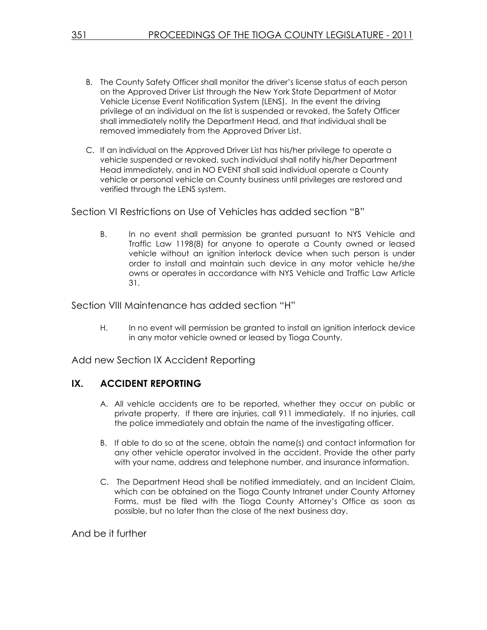- B. The County Safety Officer shall monitor the driver's license status of each person on the Approved Driver List through the New York State Department of Motor Vehicle License Event Notification System (LENS). In the event the driving privilege of an individual on the list is suspended or revoked, the Safety Officer shall immediately notify the Department Head, and that individual shall be removed immediately from the Approved Driver List.
- C. If an individual on the Approved Driver List has his/her privilege to operate a vehicle suspended or revoked, such individual shall notify his/her Department Head immediately, and in NO EVENT shall said individual operate a County vehicle or personal vehicle on County business until privileges are restored and verified through the LENS system.

Section VI Restrictions on Use of Vehicles has added section "B"

B. In no event shall permission be granted pursuant to NYS Vehicle and Traffic Law 1198(8) for anyone to operate a County owned or leased vehicle without an ignition interlock device when such person is under order to install and maintain such device in any motor vehicle he/she owns or operates in accordance with NYS Vehicle and Traffic Law Article 31.

Section VIII Maintenance has added section "H"

H. In no event will permission be granted to install an ignition interlock device in any motor vehicle owned or leased by Tioga County.

Add new Section IX Accident Reporting

# IX. ACCIDENT REPORTING

- A. All vehicle accidents are to be reported, whether they occur on public or private property. If there are injuries, call 911 immediately. If no injuries, call the police immediately and obtain the name of the investigating officer.
- B. If able to do so at the scene, obtain the name(s) and contact information for any other vehicle operator involved in the accident. Provide the other party with your name, address and telephone number, and insurance information.
- C. The Department Head shall be notified immediately, and an Incident Claim, which can be obtained on the Tioga County Intranet under County Attorney Forms, must be filed with the Tioga County Attorney's Office as soon as possible, but no later than the close of the next business day.

And be it further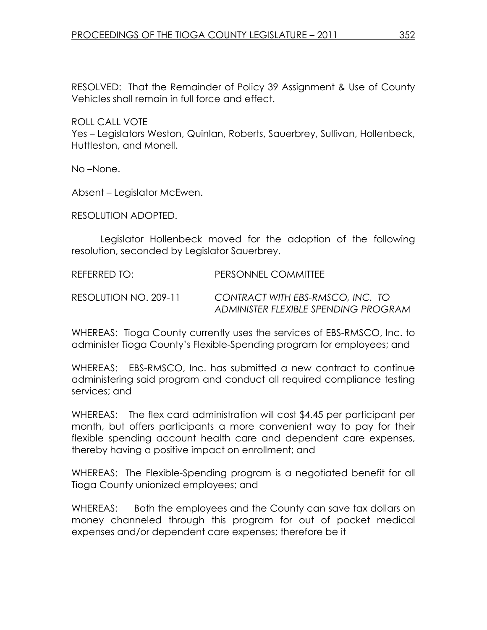RESOLVED: That the Remainder of Policy 39 Assignment & Use of County Vehicles shall remain in full force and effect.

ROLL CALL VOTE

Yes – Legislators Weston, Quinlan, Roberts, Sauerbrey, Sullivan, Hollenbeck, Huttleston, and Monell.

No –None.

Absent – Legislator McEwen.

RESOLUTION ADOPTED.

 Legislator Hollenbeck moved for the adoption of the following resolution, seconded by Legislator Sauerbrey.

REFERRED TO: PERSONNEL COMMITTEE

RESOLUTION NO. 209-11 CONTRACT WITH EBS-RMSCO, INC. TO ADMINISTER FLEXIBLE SPENDING PROGRAM

WHEREAS: Tioga County currently uses the services of EBS-RMSCO, Inc. to administer Tioga County's Flexible-Spending program for employees; and

WHEREAS: EBS-RMSCO, Inc. has submitted a new contract to continue administering said program and conduct all required compliance testing services; and

WHEREAS: The flex card administration will cost \$4.45 per participant per month, but offers participants a more convenient way to pay for their flexible spending account health care and dependent care expenses, thereby having a positive impact on enrollment; and

WHEREAS: The Flexible-Spending program is a negotiated benefit for all Tioga County unionized employees; and

WHEREAS: Both the employees and the County can save tax dollars on money channeled through this program for out of pocket medical expenses and/or dependent care expenses; therefore be it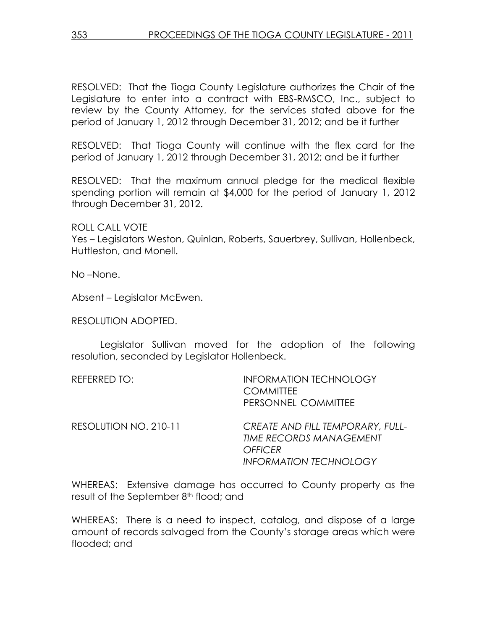RESOLVED: That the Tioga County Legislature authorizes the Chair of the Legislature to enter into a contract with EBS-RMSCO, Inc., subject to review by the County Attorney, for the services stated above for the period of January 1, 2012 through December 31, 2012; and be it further

RESOLVED: That Tioga County will continue with the flex card for the period of January 1, 2012 through December 31, 2012; and be it further

RESOLVED: That the maximum annual pledge for the medical flexible spending portion will remain at \$4,000 for the period of January 1, 2012 through December 31, 2012.

ROLL CALL VOTE Yes – Legislators Weston, Quinlan, Roberts, Sauerbrey, Sullivan, Hollenbeck, Huttleston, and Monell.

No –None.

Absent – Legislator McEwen.

RESOLUTION ADOPTED.

 Legislator Sullivan moved for the adoption of the following resolution, seconded by Legislator Hollenbeck.

| <b>REFERRED TO:</b>   | <b>INFORMATION TECHNOLOGY</b><br><b>COMMITTEE</b><br>PERSONNEL COMMITTEE                                                     |
|-----------------------|------------------------------------------------------------------------------------------------------------------------------|
| RESOLUTION NO. 210-11 | <b>CREATE AND FILL TEMPORARY, FULL-</b><br><b>TIME RECORDS MANAGEMENT</b><br><b>OFFICER</b><br><b>INFORMATION TECHNOLOGY</b> |

WHEREAS: Extensive damage has occurred to County property as the result of the September 8<sup>th</sup> flood; and

WHEREAS: There is a need to inspect, catalog, and dispose of a large amount of records salvaged from the County's storage areas which were flooded; and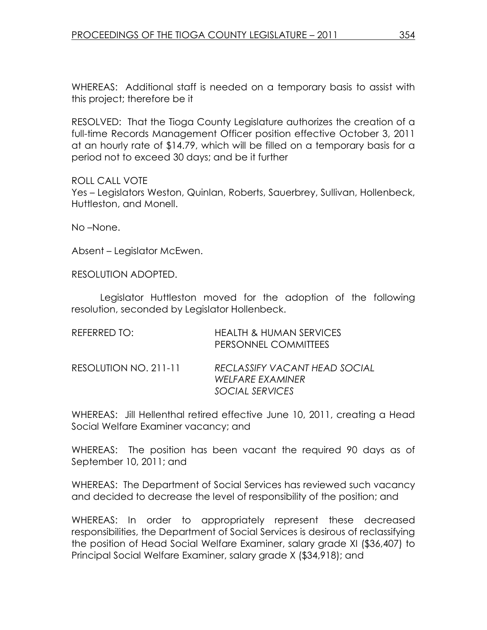WHEREAS: Additional staff is needed on a temporary basis to assist with this project; therefore be it

RESOLVED: That the Tioga County Legislature authorizes the creation of a full-time Records Management Officer position effective October 3, 2011 at an hourly rate of \$14.79, which will be filled on a temporary basis for a period not to exceed 30 days; and be it further

## ROLL CALL VOTE

Yes – Legislators Weston, Quinlan, Roberts, Sauerbrey, Sullivan, Hollenbeck, Huttleston, and Monell.

No –None.

Absent – Legislator McEwen.

RESOLUTION ADOPTED.

 Legislator Huttleston moved for the adoption of the following resolution, seconded by Legislator Hollenbeck.

| REFERRED TO:          | <b>HEALTH &amp; HUMAN SERVICES</b><br>PERSONNEL COMMITTEES                  |
|-----------------------|-----------------------------------------------------------------------------|
| RESOLUTION NO. 211-11 | RECLASSIFY VACANT HEAD SOCIAL<br><b>WELFARE EXAMINER</b><br>SOCIAL SERVICES |

WHEREAS: Jill Hellenthal retired effective June 10, 2011, creating a Head Social Welfare Examiner vacancy; and

WHEREAS: The position has been vacant the required 90 days as of September 10, 2011; and

WHEREAS: The Department of Social Services has reviewed such vacancy and decided to decrease the level of responsibility of the position; and

WHEREAS: In order to appropriately represent these decreased responsibilities, the Department of Social Services is desirous of reclassifying the position of Head Social Welfare Examiner, salary grade XI (\$36,407) to Principal Social Welfare Examiner, salary grade X (\$34,918); and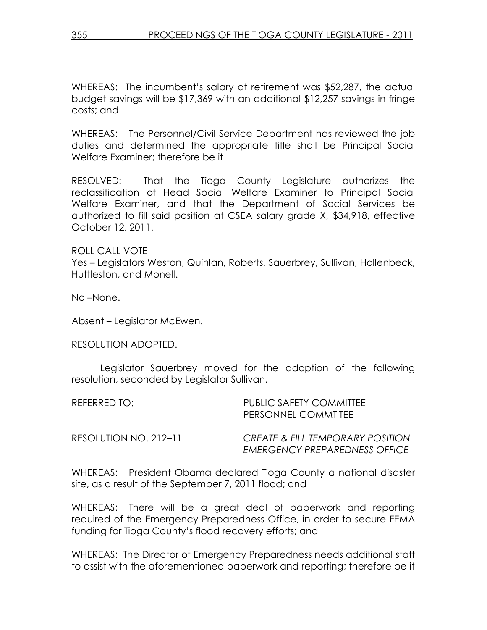WHEREAS: The incumbent's salary at retirement was \$52,287, the actual budget savings will be \$17,369 with an additional \$12,257 savings in fringe costs; and

WHEREAS: The Personnel/Civil Service Department has reviewed the job duties and determined the appropriate title shall be Principal Social Welfare Examiner; therefore be it

RESOLVED: That the Tioga County Legislature authorizes the reclassification of Head Social Welfare Examiner to Principal Social Welfare Examiner, and that the Department of Social Services be authorized to fill said position at CSEA salary grade X, \$34,918, effective October 12, 2011.

ROLL CALL VOTE

Yes – Legislators Weston, Quinlan, Roberts, Sauerbrey, Sullivan, Hollenbeck, Huttleston, and Monell.

No –None.

Absent – Legislator McEwen.

RESOLUTION ADOPTED.

 Legislator Sauerbrey moved for the adoption of the following resolution, seconded by Legislator Sullivan.

| REFERRED TO:          | PUBLIC SAFETY COMMITTEE<br>PERSONNEL COMMITTEE                               |
|-----------------------|------------------------------------------------------------------------------|
| RESOLUTION NO. 212–11 | <b>CREATE &amp; FILL TEMPORARY POSITION</b><br>EMERGENCY PREPAREDNESS OFFICE |

WHEREAS: President Obama declared Tioga County a national disaster site, as a result of the September 7, 2011 flood; and

WHEREAS: There will be a great deal of paperwork and reporting required of the Emergency Preparedness Office, in order to secure FEMA funding for Tioga County's flood recovery efforts; and

WHEREAS: The Director of Emergency Preparedness needs additional staff to assist with the aforementioned paperwork and reporting; therefore be it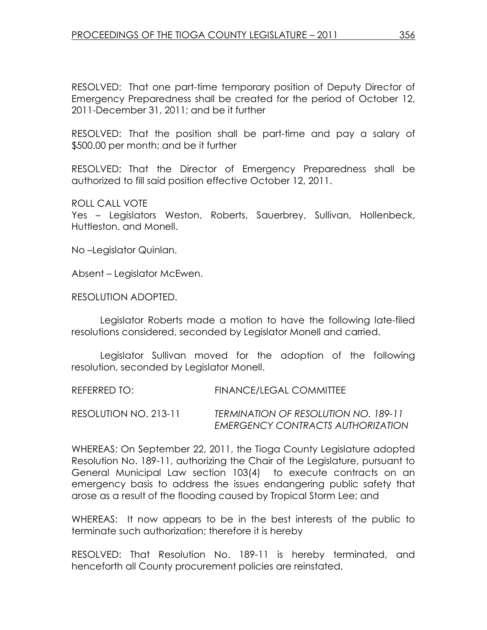RESOLVED: That one part-time temporary position of Deputy Director of Emergency Preparedness shall be created for the period of October 12, 2011-December 31, 2011; and be it further

RESOLVED: That the position shall be part-time and pay a salary of \$500.00 per month; and be it further

RESOLVED: That the Director of Emergency Preparedness shall be authorized to fill said position effective October 12, 2011.

ROLL CALL VOTE Yes – Legislators Weston, Roberts, Sauerbrey, Sullivan, Hollenbeck, Huttleston, and Monell.

No –Legislator Quinlan.

Absent – Legislator McEwen.

RESOLUTION ADOPTED.

 Legislator Roberts made a motion to have the following late-filed resolutions considered, seconded by Legislator Monell and carried.

 Legislator Sullivan moved for the adoption of the following resolution, seconded by Legislator Monell.

REFERRED TO: FINANCE/LEGAL COMMITTEE

RESOLUTION NO. 213-11 TERMINATION OF RESOLUTION NO. 189-11 EMERGENCY CONTRACTS AUTHORIZATION

WHEREAS: On September 22, 2011, the Tioga County Legislature adopted Resolution No. 189-11, authorizing the Chair of the Legislature, pursuant to General Municipal Law section 103(4) to execute contracts on an emergency basis to address the issues endangering public safety that arose as a result of the flooding caused by Tropical Storm Lee; and

WHEREAS: It now appears to be in the best interests of the public to terminate such authorization; therefore it is hereby

RESOLVED: That Resolution No. 189-11 is hereby terminated, and henceforth all County procurement policies are reinstated.